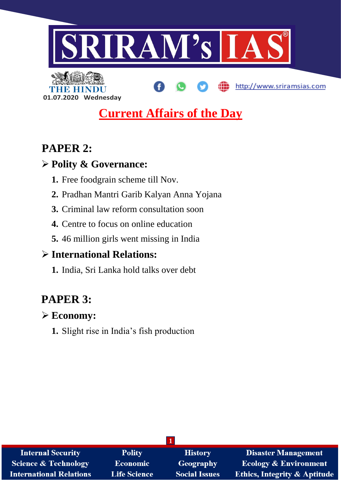

http://www.sriramsias.com



# **Current Affairs of the Day**

# **PAPER 2:**

# **Polity & Governance:**

- **1.** Free foodgrain scheme till Nov.
- **2.** Pradhan Mantri Garib Kalyan Anna Yojana
- **3.** Criminal law reform consultation soon
- **4.** Centre to focus on online education
- **5.** 46 million girls went missing in India

# **International Relations:**

**1.** India, Sri Lanka hold talks over debt

# **PAPER 3:**

# **Economy:**

**1.** Slight rise in India's fish production

| <b>Internal Security</b>        | <b>Polity</b>       | <b>History</b>       | <b>Disaster Management</b>              |  |
|---------------------------------|---------------------|----------------------|-----------------------------------------|--|
| <b>Science &amp; Technology</b> | <b>Economic</b>     | <b>Geography</b>     | <b>Ecology &amp; Environment</b>        |  |
| <b>International Relations</b>  | <b>Life Science</b> | <b>Social Issues</b> | <b>Ethics, Integrity &amp; Aptitude</b> |  |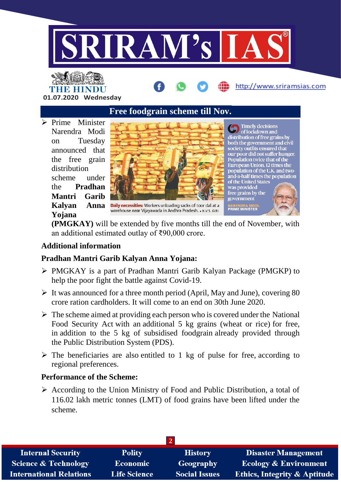



**Free foodgrain scheme till Nov.**

 $\triangleright$  Prime Minister Narendra Modi on Tuesday announced that the free grain distribution scheme under the **Pradhan Mantri Garib Kalyan Anna Yojana** 



Daily necessities: Workers unloading sacks of toor dal at a warehouse near Vijayawada in Andhra Pradesh. . K.V.S. GIRI

**Comp** Timely decisions<br>distribution of free grains by both the government and civil society outfits ensured that our poor did not suffer hunger.<br>Population twice that of the European Union, 12 times the Laropean emon, La annes die<br>population of the U.K. and two-<br>and-a-half times the population<br>of the United States was provided free grains by the government **PRIME MINISTER** 

http://www.sriramsias.com

**(PMGKAY)** will be extended by five months till the end of November, with an additional estimated outlay of ₹90,000 crore.

### **Additional information**

### **Pradhan Mantri Garib Kalyan Anna Yojana:**

- PMGKAY is a part of Pradhan Mantri Garib Kalyan Package (PMGKP) to help the poor fight the battle against Covid-19.
- $\triangleright$  It was announced for a three month period (April, May and June), covering 80 crore ration cardholders. It will come to an end on 30th June 2020.
- $\triangleright$  The scheme aimed at providing each person who is covered under the National Food Security Act with an additional 5 kg grains (wheat or rice) for free, in addition to the 5 kg of subsidised foodgrain already provided through the Public Distribution System (PDS).
- $\triangleright$  The beneficiaries are also entitled to 1 kg of pulse for free, according to regional preferences.

### **Performance of the Scheme:**

 $\triangleright$  According to the Union Ministry of Food and Public Distribution, a total of 116.02 lakh metric tonnes (LMT) of food grains have been lifted under the scheme.

| <b>Internal Security</b>        | <b>Polity</b>       | <b>History</b>       | Disaster Management                     |  |
|---------------------------------|---------------------|----------------------|-----------------------------------------|--|
| <b>Science &amp; Technology</b> | Economic            | Geography            | <b>Ecology &amp; Environment</b>        |  |
| <b>International Relations</b>  | <b>Life Science</b> | <b>Social Issues</b> | <b>Ethics, Integrity &amp; Aptitude</b> |  |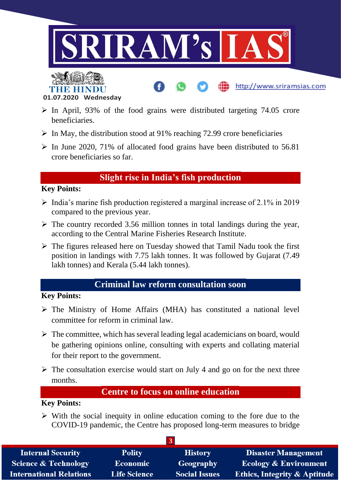

http://www.sriramsias.com



- $\triangleright$  In April, 93% of the food grains were distributed targeting 74.05 crore beneficiaries.
- $\triangleright$  In May, the distribution stood at 91% reaching 72.99 crore beneficiaries
- $\triangleright$  In June 2020, 71% of allocated food grains have been distributed to 56.81 crore beneficiaries so far.

# **Slight rise in India's fish production**

#### **Key Points:**

- $\triangleright$  India's marine fish production registered a marginal increase of 2.1% in 2019 compared to the previous year.
- $\triangleright$  The country recorded 3.56 million tonnes in total landings during the year, according to the Central Marine Fisheries Research Institute.
- $\triangleright$  The figures released here on Tuesday showed that Tamil Nadu took the first position in landings with 7.75 lakh tonnes. It was followed by Gujarat (7.49 lakh tonnes) and Kerala (5.44 lakh tonnes).

## **Criminal law reform consultation soon**

#### **Key Points:**

- $\triangleright$  The Ministry of Home Affairs (MHA) has constituted a national level committee for reform in criminal law.
- $\triangleright$  The committee, which has several leading legal academicians on board, would be gathering opinions online, consulting with experts and collating material for their report to the government.
- $\triangleright$  The consultation exercise would start on July 4 and go on for the next three months.

## **Centre to focus on online education**

#### **Key Points:**

 $\triangleright$  With the social inequity in online education coming to the fore due to the COVID-19 pandemic, the Centre has proposed long-term measures to bridge

| <b>Internal Security</b>        | <b>Polity</b>       | <b>History</b>       | <b>Disaster Management</b>              |
|---------------------------------|---------------------|----------------------|-----------------------------------------|
| <b>Science &amp; Technology</b> | <b>Economic</b>     | Geography            | <b>Ecology &amp; Environment</b>        |
| <b>International Relations</b>  | <b>Life Science</b> | <b>Social Issues</b> | <b>Ethics, Integrity &amp; Aptitude</b> |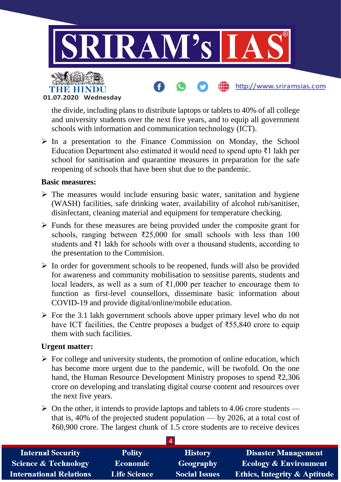

**01.07.2020 Wednesday**

the divide, including plans to distribute laptops or tablets to 40% of all college and university students over the next five years, and to equip all government schools with information and communication technology (ICT).

 $\triangleright$  In a presentation to the Finance Commission on Monday, the School Education Department also estimated it would need to spend upto ₹1 lakh per school for sanitisation and quarantine measures in preparation for the safe reopening of schools that have been shut due to the pandemic.

#### **Basic measures:**

- $\triangleright$  The measures would include ensuring basic water, sanitation and hygiene (WASH) facilities, safe drinking water, availability of alcohol rub/sanitiser, disinfectant, cleaning material and equipment for temperature checking.
- $\triangleright$  Funds for these measures are being provided under the composite grant for schools, ranging between  $\overline{2}25,000$  for small schools with less than 100 students and ₹1 lakh for schools with over a thousand students, according to the presentation to the Commision.
- $\triangleright$  In order for government schools to be reopened, funds will also be provided for awareness and community mobilisation to sensitise parents, students and local leaders, as well as a sum of ₹1,000 per teacher to encourage them to function as first-level counsellors, disseminate basic information about COVID-19 and provide digital/online/mobile education.
- $\triangleright$  For the 3.1 lakh government schools above upper primary level who do not have ICT facilities, the Centre proposes a budget of  $\text{\textless}55,840$  crore to equip them with such facilities.

#### **Urgent matter:**

- $\triangleright$  For college and university students, the promotion of online education, which has become more urgent due to the pandemic, will be twofold. On the one hand, the Human Resource Development Ministry proposes to spend ₹2,306 crore on developing and translating digital course content and resources over the next five years.
- $\triangleright$  On the other, it intends to provide laptops and tablets to 4.06 crore students that is, 40% of the projected student population — by 2026, at a total cost of ₹60,900 crore. The largest chunk of 1.5 crore students are to receive devices

| <b>Internal Security</b>        | <b>Polity</b>       | <b>History</b>       | <b>Disaster Management</b>              |  |
|---------------------------------|---------------------|----------------------|-----------------------------------------|--|
| <b>Science &amp; Technology</b> | <b>Economic</b>     | Geography            | <b>Ecology &amp; Environment</b>        |  |
| <b>International Relations</b>  | <b>Life Science</b> | <b>Social Issues</b> | <b>Ethics, Integrity &amp; Aptitude</b> |  |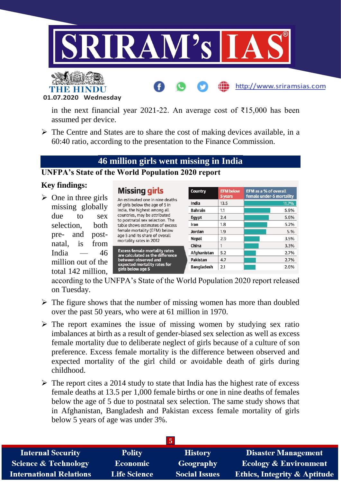

**01.07.2020 Wednesday**

THE HINDL

in the next financial year 2021-22. An average cost of ₹15,000 has been assumed per device.

 $\triangleright$  The Centre and States are to share the cost of making devices available, in a 60:40 ratio, according to the presentation to the Finance Commission.

# **46 million girls went missing in India**

#### **UNFPA's State of the World Population 2020 report**

#### **Key findings:**

 $\triangleright$  One in three girls missing globally due to sex selection, both pre- and postnatal, is from India  $- 46$ million out of the total 142 million,

| <b>Missing girls</b><br>An estimated one in nine deaths<br>of girls below the age of 5 in                                                                                                                          | <b>Country</b>    | <b>EFM below</b><br>5 years | EFM as a % of overall<br>female under-5 mortality |
|--------------------------------------------------------------------------------------------------------------------------------------------------------------------------------------------------------------------|-------------------|-----------------------------|---------------------------------------------------|
|                                                                                                                                                                                                                    | India             | 13.5                        | 11.7%                                             |
| India, the highest among all                                                                                                                                                                                       | <b>Bahrain</b>    | 1.1                         | 5.9%                                              |
| countries, may be attributed<br>to postnatal sex selection. The                                                                                                                                                    | Egypt             | 2.4                         | 5.6%                                              |
| table shows estimates of excess                                                                                                                                                                                    | Iran              | 1.8                         | 5.2%                                              |
| female mortality (EFM) below                                                                                                                                                                                       | Jordan            | 1.9                         | 5.%                                               |
| age 5 and its share of overall<br>mortality rates in 2012<br><b>Excess female mortality rates</b><br>are calculated as the difference<br>between observed and<br>expected mortality rates for<br>girls below age 5 | <b>Nepal</b>      | 2.9                         | 3.5%                                              |
|                                                                                                                                                                                                                    | China             | 1                           | 3.3%                                              |
|                                                                                                                                                                                                                    | Afghanistan       | 5.2                         | 2.7%                                              |
|                                                                                                                                                                                                                    | Pakistan          | 4.7                         | 2.7%                                              |
|                                                                                                                                                                                                                    | <b>Bangladesh</b> | 2.1                         | 2.6%                                              |
|                                                                                                                                                                                                                    |                   |                             |                                                   |

http://www.sriramsias.com

according to the UNFPA's State of the World Population 2020 report released on Tuesday.

- $\triangleright$  The figure shows that the number of missing women has more than doubled over the past 50 years, who were at 61 million in 1970.
- $\triangleright$  The report examines the issue of missing women by studying sex ratio imbalances at birth as a result of gender-biased sex selection as well as excess female mortality due to deliberate neglect of girls because of a culture of son preference. Excess female mortality is the difference between observed and expected mortality of the girl child or avoidable death of girls during childhood.
- $\triangleright$  The report cites a 2014 study to state that India has the highest rate of excess female deaths at 13.5 per 1,000 female births or one in nine deaths of females below the age of 5 due to postnatal sex selection. The same study shows that in Afghanistan, Bangladesh and Pakistan excess female mortality of girls below 5 years of age was under 3%.

| $\mathbf{D}$                    |                     |                      |                                         |  |
|---------------------------------|---------------------|----------------------|-----------------------------------------|--|
| <b>Internal Security</b>        | <b>Polity</b>       | <b>History</b>       | <b>Disaster Management</b>              |  |
| <b>Science &amp; Technology</b> | Economic            | Geography            | <b>Ecology &amp; Environment</b>        |  |
| <b>International Relations</b>  | <b>Life Science</b> | <b>Social Issues</b> | <b>Ethics, Integrity &amp; Aptitude</b> |  |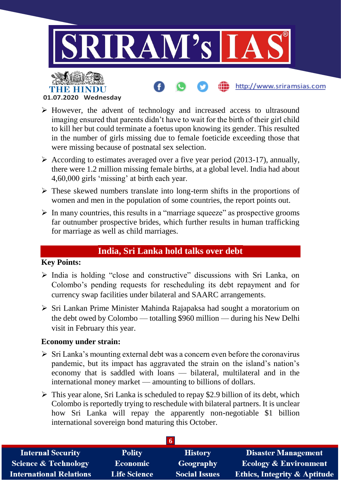

**01.07.2020 Wednesday**

- $\triangleright$  However, the advent of technology and increased access to ultrasound imaging ensured that parents didn't have to wait for the birth of their girl child to kill her but could terminate a foetus upon knowing its gender. This resulted in the number of girls missing due to female foeticide exceeding those that were missing because of postnatal sex selection.
- $\triangleright$  According to estimates averaged over a five year period (2013-17), annually, there were 1.2 million missing female births, at a global level. India had about 4,60,000 girls 'missing' at birth each year.
- $\triangleright$  These skewed numbers translate into long-term shifts in the proportions of women and men in the population of some countries, the report points out.
- $\triangleright$  In many countries, this results in a "marriage squeeze" as prospective grooms far outnumber prospective brides, which further results in human trafficking for marriage as well as child marriages.

# **India, Sri Lanka hold talks over debt**

#### **Key Points:**

- $\triangleright$  India is holding "close and constructive" discussions with Sri Lanka, on Colombo's pending requests for rescheduling its debt repayment and for currency swap facilities under bilateral and SAARC arrangements.
- $\triangleright$  Sri Lankan Prime Minister Mahinda Rajapaksa had sought a moratorium on the debt owed by Colombo — totalling \$960 million — during his New Delhi visit in February this year.

#### **Economy under strain:**

- $\triangleright$  Sri Lanka's mounting external debt was a concern even before the coronavirus pandemic, but its impact has aggravated the strain on the island's nation's economy that is saddled with loans — bilateral, multilateral and in the international money market — amounting to billions of dollars.
- $\triangleright$  This year alone, Sri Lanka is scheduled to repay \$2.9 billion of its debt, which Colombo is reportedly trying to reschedule with bilateral partners. It is unclear how Sri Lanka will repay the apparently non-negotiable \$1 billion international sovereign bond maturing this October.

| <b>Internal Security</b>        | <b>Polity</b>       | <b>History</b>       | Disaster Management                     |
|---------------------------------|---------------------|----------------------|-----------------------------------------|
| <b>Science &amp; Technology</b> | <b>Economic</b>     | <b>Geography</b>     | <b>Ecology &amp; Environment</b>        |
| <b>International Relations</b>  | <b>Life Science</b> | <b>Social Issues</b> | <b>Ethics, Integrity &amp; Aptitude</b> |